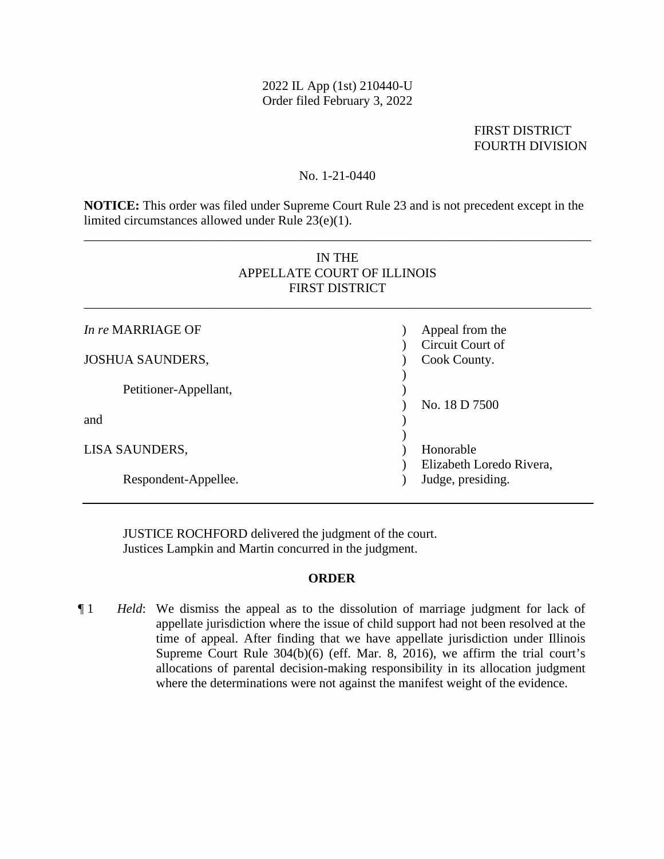### 2022 IL App (1st) 210440-U Order filed February 3, 2022

# FOURTH DIVISION FIRST DISTRICT

#### No. 1-21-0440

**NOTICE:** This order was filed under Supreme Court Rule 23 and is not precedent except in the limited circumstances allowed under Rule 23(e)(1).

\_\_\_\_\_\_\_\_\_\_\_\_\_\_\_\_\_\_\_\_\_\_\_\_\_\_\_\_\_\_\_\_\_\_\_\_\_\_\_\_\_\_\_\_\_\_\_\_\_\_\_\_\_\_\_\_\_\_\_\_\_\_\_\_\_\_\_\_\_\_\_\_\_\_\_\_\_\_

# IN THE APPELLATE COURT OF ILLINOIS FIRST DISTRICT

\_\_\_\_\_\_\_\_\_\_\_\_\_\_\_\_\_\_\_\_\_\_\_\_\_\_\_\_\_\_\_\_\_\_\_\_\_\_\_\_\_\_\_\_\_\_\_\_\_\_\_\_\_\_\_\_\_\_\_\_\_\_\_\_\_\_\_\_\_\_\_\_\_\_\_\_\_\_

| In re MARRIAGE OF       | Appeal from the<br>Circuit Court of   |
|-------------------------|---------------------------------------|
| <b>JOSHUA SAUNDERS,</b> | Cook County.                          |
| Petitioner-Appellant,   | No. 18 D 7500                         |
| and                     |                                       |
| LISA SAUNDERS,          | Honorable<br>Elizabeth Loredo Rivera, |
| Respondent-Appellee.    | Judge, presiding.                     |

JUSTICE ROCHFORD delivered the judgment of the court. Justices Lampkin and Martin concurred in the judgment.

#### **ORDER**

¶ 1 *Held*: We dismiss the appeal as to the dissolution of marriage judgment for lack of appellate jurisdiction where the issue of child support had not been resolved at the time of appeal. After finding that we have appellate jurisdiction under Illinois Supreme Court Rule 304(b)(6) (eff. Mar. 8, 2016), we affirm the trial court's allocations of parental decision-making responsibility in its allocation judgment where the determinations were not against the manifest weight of the evidence.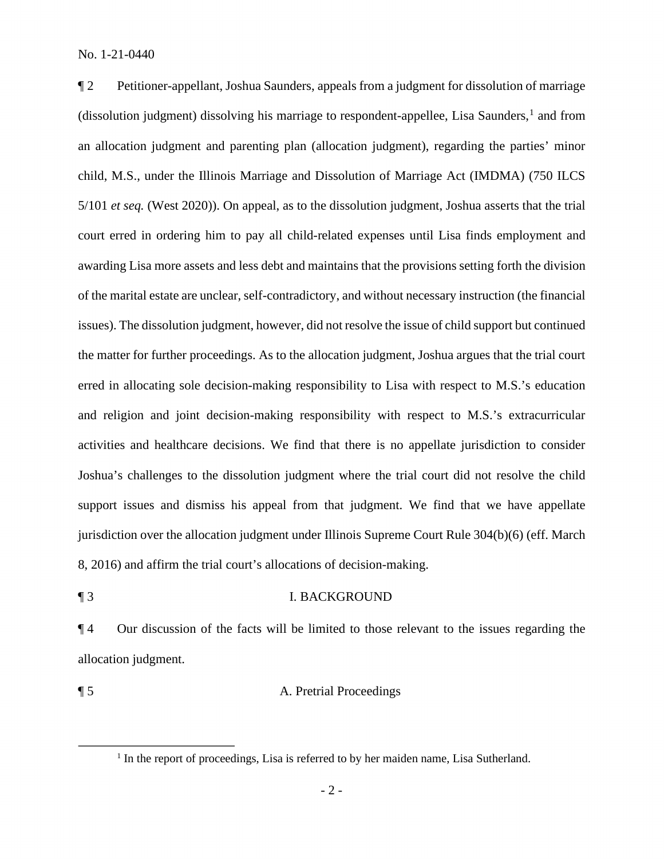child, M.S., under the Illinois Marriage and Dissolution of Marriage Act (IMDMA) (750 ILCS court erred in ordering him to pay all child-related expenses until Lisa finds employment and of the marital estate are unclear, self-contradictory, and without necessary instruction (the financial the matter for further proceedings. As to the allocation judgment, Joshua argues that the trial court 8, 2016) and affirm the trial court's allocations of decision-making. ¶ 2 Petitioner-appellant, Joshua Saunders, appeals from a judgment for dissolution of marriage (dissolution judgment) dissolving his marriage to respondent-appellee, Lisa Saunders,<sup>1</sup> and from an allocation judgment and parenting plan (allocation judgment), regarding the parties' minor 5/101 *et seq.* (West 2020)). On appeal, as to the dissolution judgment, Joshua asserts that the trial awarding Lisa more assets and less debt and maintains that the provisions setting forth the division issues). The dissolution judgment, however, did not resolve the issue of child support but continued erred in allocating sole decision-making responsibility to Lisa with respect to M.S.'s education and religion and joint decision-making responsibility with respect to M.S.'s extracurricular activities and healthcare decisions. We find that there is no appellate jurisdiction to consider Joshua's challenges to the dissolution judgment where the trial court did not resolve the child support issues and dismiss his appeal from that judgment. We find that we have appellate jurisdiction over the allocation judgment under Illinois Supreme Court Rule 304(b)(6) (eff. March

¶ 3 I. BACKGROUND

¶ 4 Our discussion of the facts will be limited to those relevant to the issues regarding the allocation judgment.

### ¶ 5 A. Pretrial Proceedings

<sup>&</sup>lt;sup>1</sup> In the report of proceedings, Lisa is referred to by her maiden name, Lisa Sutherland.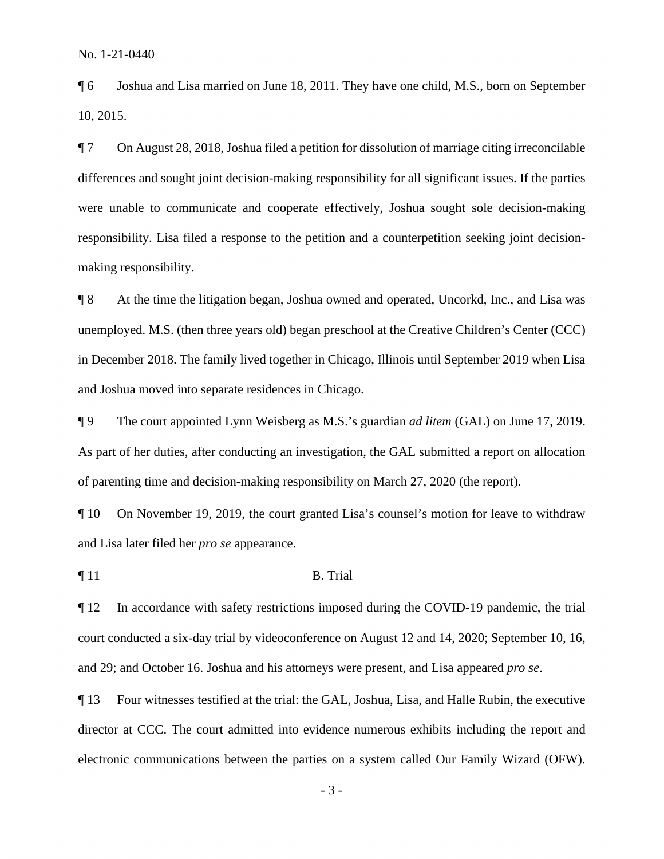¶ 6 Joshua and Lisa married on June 18, 2011. They have one child, M.S., born on September 10, 2015.

 differences and sought joint decision-making responsibility for all significant issues. If the parties responsibility. Lisa filed a response to the petition and a counterpetition seeking joint decision-¶ 7 On August 28, 2018, Joshua filed a petition for dissolution of marriage citing irreconcilable were unable to communicate and cooperate effectively, Joshua sought sole decision-making making responsibility.

 ¶ 8 At the time the litigation began, Joshua owned and operated, Uncorkd, Inc., and Lisa was unemployed. M.S. (then three years old) began preschool at the Creative Children's Center (CCC) in December 2018. The family lived together in Chicago, Illinois until September 2019 when Lisa and Joshua moved into separate residences in Chicago.

 As part of her duties, after conducting an investigation, the GAL submitted a report on allocation ¶ 9 The court appointed Lynn Weisberg as M.S.'s guardian *ad litem* (GAL) on June 17, 2019. of parenting time and decision-making responsibility on March 27, 2020 (the report).

 and Lisa later filed her *pro se* appearance. ¶ 10 On November 19, 2019, the court granted Lisa's counsel's motion for leave to withdraw

 $\P$  11 B. Trial

¶ 12 In accordance with safety restrictions imposed during the COVID-19 pandemic, the trial court conducted a six-day trial by videoconference on August 12 and 14, 2020; September 10, 16, and 29; and October 16. Joshua and his attorneys were present, and Lisa appeared *pro se*.

 ¶ 13 Four witnesses testified at the trial: the GAL, Joshua, Lisa, and Halle Rubin, the executive director at CCC. The court admitted into evidence numerous exhibits including the report and electronic communications between the parties on a system called Our Family Wizard (OFW).

- 3 -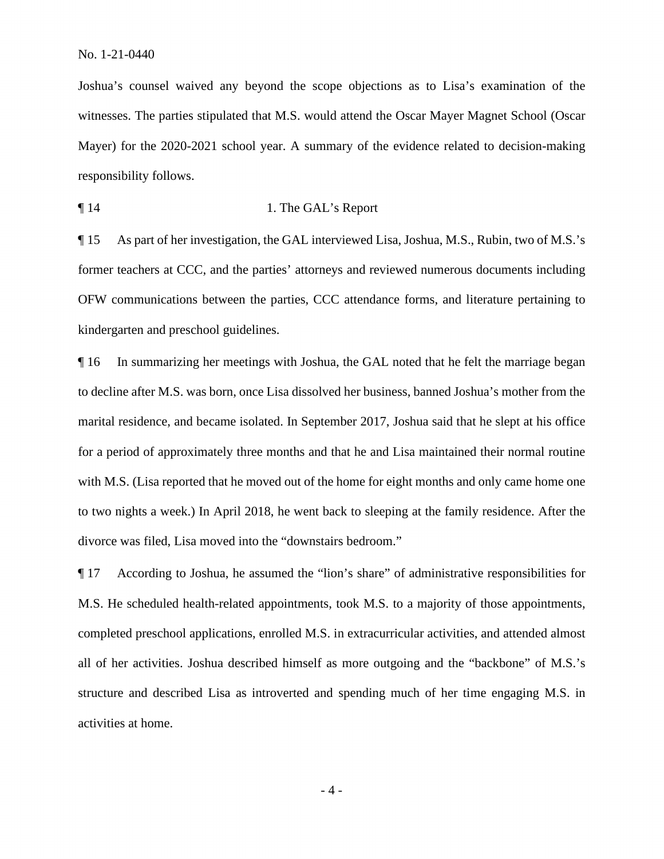Mayer) for the 2020-2021 school year. A summary of the evidence related to decision-making Joshua's counsel waived any beyond the scope objections as to Lisa's examination of the witnesses. The parties stipulated that M.S. would attend the Oscar Mayer Magnet School (Oscar responsibility follows.

¶ 14 1. The GAL's Report

¶ 15 As part of her investigation, the GAL interviewed Lisa, Joshua, M.S., Rubin, two of M.S.'s former teachers at CCC, and the parties' attorneys and reviewed numerous documents including OFW communications between the parties, CCC attendance forms, and literature pertaining to kindergarten and preschool guidelines.

 with M.S. (Lisa reported that he moved out of the home for eight months and only came home one to two nights a week.) In April 2018, he went back to sleeping at the family residence. After the ¶ 16 In summarizing her meetings with Joshua, the GAL noted that he felt the marriage began to decline after M.S. was born, once Lisa dissolved her business, banned Joshua's mother from the marital residence, and became isolated. In September 2017, Joshua said that he slept at his office for a period of approximately three months and that he and Lisa maintained their normal routine divorce was filed, Lisa moved into the "downstairs bedroom."

¶ 17 According to Joshua, he assumed the "lion's share" of administrative responsibilities for M.S. He scheduled health-related appointments, took M.S. to a majority of those appointments, completed preschool applications, enrolled M.S. in extracurricular activities, and attended almost all of her activities. Joshua described himself as more outgoing and the "backbone" of M.S.'s structure and described Lisa as introverted and spending much of her time engaging M.S. in activities at home.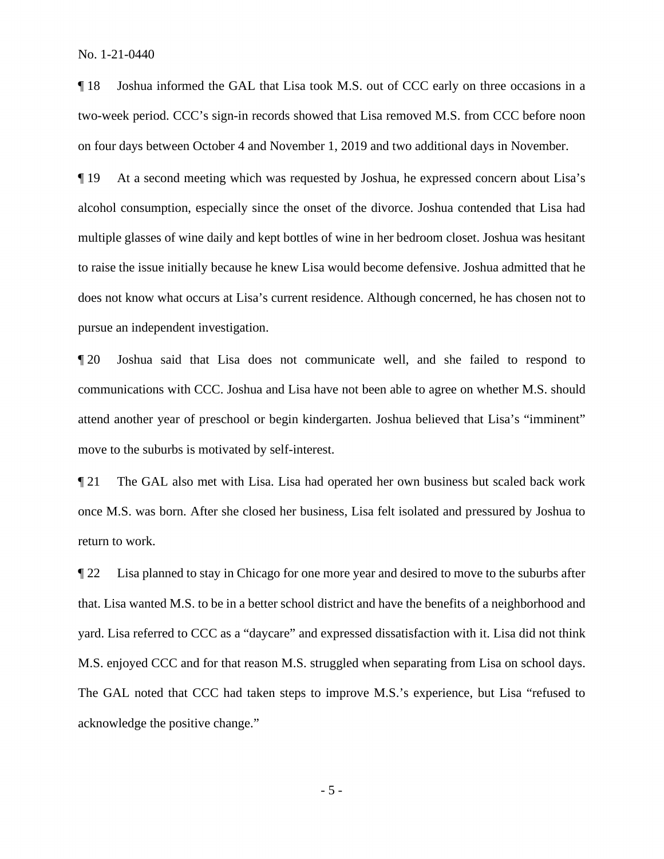¶ 18 Joshua informed the GAL that Lisa took M.S. out of CCC early on three occasions in a two-week period. CCC's sign-in records showed that Lisa removed M.S. from CCC before noon on four days between October 4 and November 1, 2019 and two additional days in November.

 ¶ 19 At a second meeting which was requested by Joshua, he expressed concern about Lisa's multiple glasses of wine daily and kept bottles of wine in her bedroom closet. Joshua was hesitant alcohol consumption, especially since the onset of the divorce. Joshua contended that Lisa had to raise the issue initially because he knew Lisa would become defensive. Joshua admitted that he does not know what occurs at Lisa's current residence. Although concerned, he has chosen not to pursue an independent investigation.

 ¶ 20 Joshua said that Lisa does not communicate well, and she failed to respond to communications with CCC. Joshua and Lisa have not been able to agree on whether M.S. should attend another year of preschool or begin kindergarten. Joshua believed that Lisa's "imminent" move to the suburbs is motivated by self-interest.

¶ 21 The GAL also met with Lisa. Lisa had operated her own business but scaled back work once M.S. was born. After she closed her business, Lisa felt isolated and pressured by Joshua to return to work.

 The GAL noted that CCC had taken steps to improve M.S.'s experience, but Lisa "refused to ¶ 22 Lisa planned to stay in Chicago for one more year and desired to move to the suburbs after that. Lisa wanted M.S. to be in a better school district and have the benefits of a neighborhood and yard. Lisa referred to CCC as a "daycare" and expressed dissatisfaction with it. Lisa did not think M.S. enjoyed CCC and for that reason M.S. struggled when separating from Lisa on school days. acknowledge the positive change."

- 5 -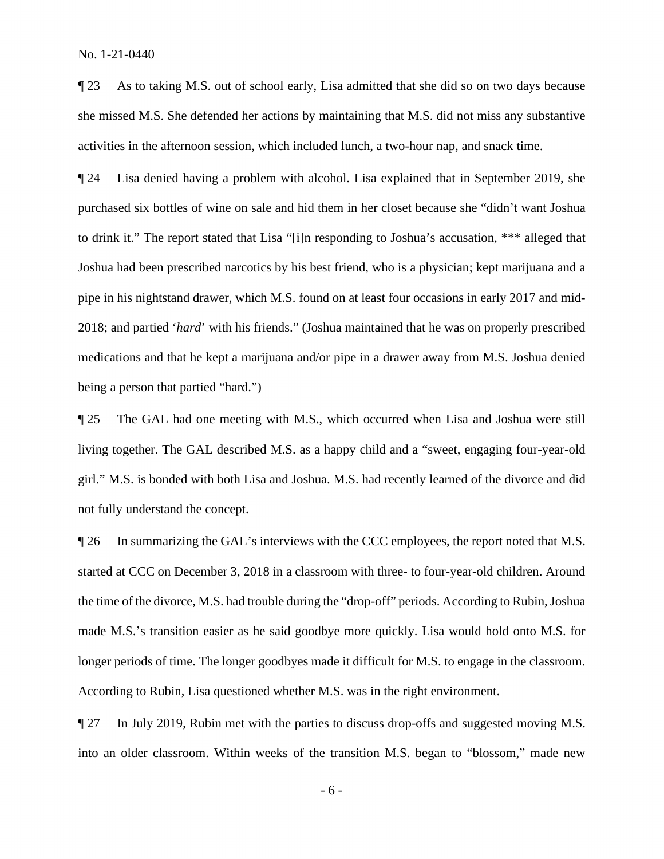activities in the afternoon session, which included lunch, a two-hour nap, and snack time. ¶ 23 As to taking M.S. out of school early, Lisa admitted that she did so on two days because she missed M.S. She defended her actions by maintaining that M.S. did not miss any substantive

 medications and that he kept a marijuana and/or pipe in a drawer away from M.S. Joshua denied ¶ 24 Lisa denied having a problem with alcohol. Lisa explained that in September 2019, she purchased six bottles of wine on sale and hid them in her closet because she "didn't want Joshua to drink it." The report stated that Lisa "[i]n responding to Joshua's accusation, \*\*\* alleged that Joshua had been prescribed narcotics by his best friend, who is a physician; kept marijuana and a pipe in his nightstand drawer, which M.S. found on at least four occasions in early 2017 and mid-2018; and partied '*hard*' with his friends." (Joshua maintained that he was on properly prescribed being a person that partied "hard.")

¶ 25 The GAL had one meeting with M.S., which occurred when Lisa and Joshua were still living together. The GAL described M.S. as a happy child and a "sweet, engaging four-year-old girl." M.S. is bonded with both Lisa and Joshua. M.S. had recently learned of the divorce and did not fully understand the concept.

 started at CCC on December 3, 2018 in a classroom with three- to four-year-old children. Around longer periods of time. The longer goodbyes made it difficult for M.S. to engage in the classroom. ¶ 26 In summarizing the GAL's interviews with the CCC employees, the report noted that M.S. the time of the divorce, M.S. had trouble during the "drop-off" periods. According to Rubin, Joshua made M.S.'s transition easier as he said goodbye more quickly. Lisa would hold onto M.S. for According to Rubin, Lisa questioned whether M.S. was in the right environment.

 ¶ 27 In July 2019, Rubin met with the parties to discuss drop-offs and suggested moving M.S. into an older classroom. Within weeks of the transition M.S. began to "blossom," made new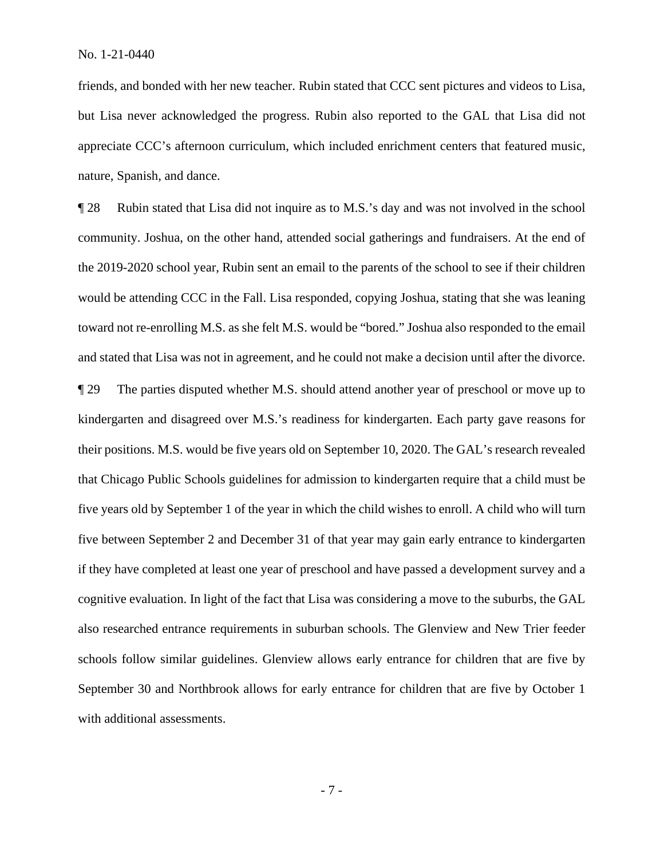friends, and bonded with her new teacher. Rubin stated that CCC sent pictures and videos to Lisa, but Lisa never acknowledged the progress. Rubin also reported to the GAL that Lisa did not appreciate CCC's afternoon curriculum, which included enrichment centers that featured music, nature, Spanish, and dance.

 toward not re-enrolling M.S. as she felt M.S. would be "bored." Joshua also responded to the email and stated that Lisa was not in agreement, and he could not make a decision until after the divorce. that Chicago Public Schools guidelines for admission to kindergarten require that a child must be also researched entrance requirements in suburban schools. The Glenview and New Trier feeder September 30 and Northbrook allows for early entrance for children that are five by October 1 ¶ 28 Rubin stated that Lisa did not inquire as to M.S.'s day and was not involved in the school community. Joshua, on the other hand, attended social gatherings and fundraisers. At the end of the 2019-2020 school year, Rubin sent an email to the parents of the school to see if their children would be attending CCC in the Fall. Lisa responded, copying Joshua, stating that she was leaning ¶ 29 The parties disputed whether M.S. should attend another year of preschool or move up to kindergarten and disagreed over M.S.'s readiness for kindergarten. Each party gave reasons for their positions. M.S. would be five years old on September 10, 2020. The GAL's research revealed five years old by September 1 of the year in which the child wishes to enroll. A child who will turn five between September 2 and December 31 of that year may gain early entrance to kindergarten if they have completed at least one year of preschool and have passed a development survey and a cognitive evaluation. In light of the fact that Lisa was considering a move to the suburbs, the GAL schools follow similar guidelines. Glenview allows early entrance for children that are five by with additional assessments.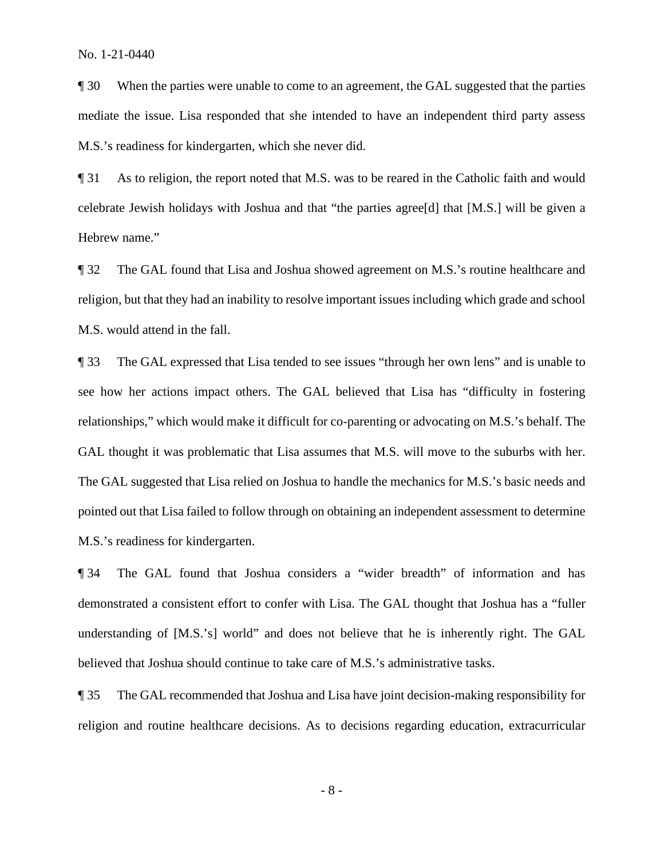mediate the issue. Lisa responded that she intended to have an independent third party assess ¶ 30 When the parties were unable to come to an agreement, the GAL suggested that the parties M.S.'s readiness for kindergarten, which she never did.

¶ 31 As to religion, the report noted that M.S. was to be reared in the Catholic faith and would celebrate Jewish holidays with Joshua and that "the parties agree[d] that [M.S.] will be given a Hebrew name."

 religion, but that they had an inability to resolve important issues including which grade and school ¶ 32 The GAL found that Lisa and Joshua showed agreement on M.S.'s routine healthcare and M.S. would attend in the fall.

 relationships," which would make it difficult for co-parenting or advocating on M.S.'s behalf. The GAL thought it was problematic that Lisa assumes that M.S. will move to the suburbs with her. pointed out that Lisa failed to follow through on obtaining an independent assessment to determine ¶ 33 The GAL expressed that Lisa tended to see issues "through her own lens" and is unable to see how her actions impact others. The GAL believed that Lisa has "difficulty in fostering The GAL suggested that Lisa relied on Joshua to handle the mechanics for M.S.'s basic needs and M.S.'s readiness for kindergarten.

believed that Joshua should continue to take care of M.S.'s administrative tasks. ¶ 34 The GAL found that Joshua considers a "wider breadth" of information and has demonstrated a consistent effort to confer with Lisa. The GAL thought that Joshua has a "fuller understanding of [M.S.'s] world" and does not believe that he is inherently right. The GAL

 $\P$  35 The GAL recommended that Joshua and Lisa have joint decision-making responsibility for religion and routine healthcare decisions. As to decisions regarding education, extracurricular

- 8 -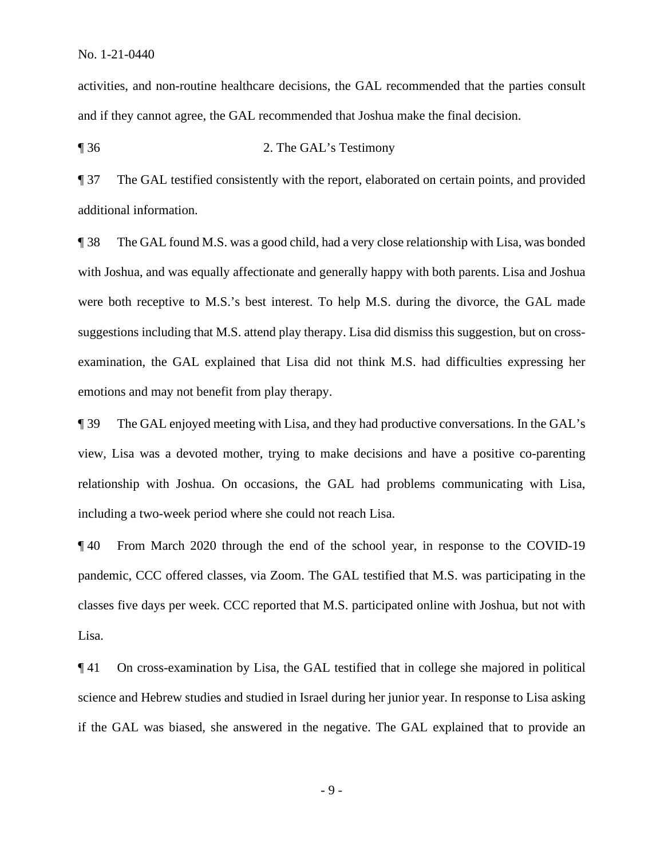activities, and non-routine healthcare decisions, the GAL recommended that the parties consult and if they cannot agree, the GAL recommended that Joshua make the final decision.

¶ 36 2. The GAL's Testimony

**The GAL testified consistently with the report, elaborated on certain points, and provided** additional information.

 with Joshua, and was equally affectionate and generally happy with both parents. Lisa and Joshua ¶ 38 The GAL found M.S. was a good child, had a very close relationship with Lisa, was bonded were both receptive to M.S.'s best interest. To help M.S. during the divorce, the GAL made suggestions including that M.S. attend play therapy. Lisa did dismiss this suggestion, but on crossexamination, the GAL explained that Lisa did not think M.S. had difficulties expressing her emotions and may not benefit from play therapy.

 view, Lisa was a devoted mother, trying to make decisions and have a positive co-parenting ¶ 39 The GAL enjoyed meeting with Lisa, and they had productive conversations. In the GAL's relationship with Joshua. On occasions, the GAL had problems communicating with Lisa, including a two-week period where she could not reach Lisa.

¶ 40 From March 2020 through the end of the school year, in response to the COVID-19 pandemic, CCC offered classes, via Zoom. The GAL testified that M.S. was participating in the classes five days per week. CCC reported that M.S. participated online with Joshua, but not with Lisa.

 ¶ 41 On cross-examination by Lisa, the GAL testified that in college she majored in political science and Hebrew studies and studied in Israel during her junior year. In response to Lisa asking if the GAL was biased, she answered in the negative. The GAL explained that to provide an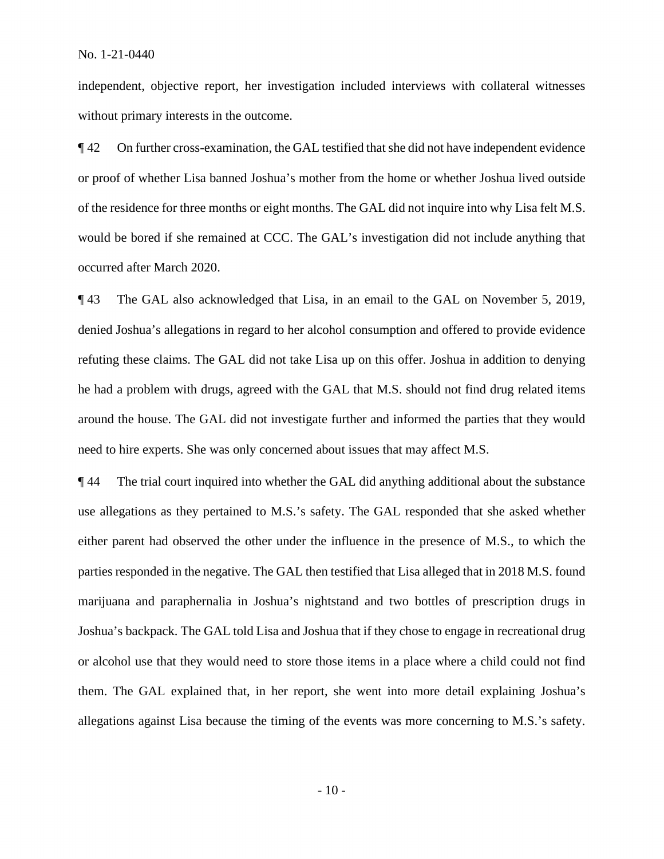independent, objective report, her investigation included interviews with collateral witnesses without primary interests in the outcome.

**T** 42 On further cross-examination, the GAL testified that she did not have independent evidence of the residence for three months or eight months. The GAL did not inquire into why Lisa felt M.S. or proof of whether Lisa banned Joshua's mother from the home or whether Joshua lived outside would be bored if she remained at CCC. The GAL's investigation did not include anything that occurred after March 2020.

 ¶ 43 The GAL also acknowledged that Lisa, in an email to the GAL on November 5, 2019, refuting these claims. The GAL did not take Lisa up on this offer. Joshua in addition to denying denied Joshua's allegations in regard to her alcohol consumption and offered to provide evidence he had a problem with drugs, agreed with the GAL that M.S. should not find drug related items around the house. The GAL did not investigate further and informed the parties that they would need to hire experts. She was only concerned about issues that may affect M.S.

 use allegations as they pertained to M.S.'s safety. The GAL responded that she asked whether Joshua's backpack. The GAL told Lisa and Joshua that if they chose to engage in recreational drug or alcohol use that they would need to store those items in a place where a child could not find allegations against Lisa because the timing of the events was more concerning to M.S.'s safety. ¶ 44 The trial court inquired into whether the GAL did anything additional about the substance either parent had observed the other under the influence in the presence of M.S., to which the parties responded in the negative. The GAL then testified that Lisa alleged that in 2018 M.S. found marijuana and paraphernalia in Joshua's nightstand and two bottles of prescription drugs in them. The GAL explained that, in her report, she went into more detail explaining Joshua's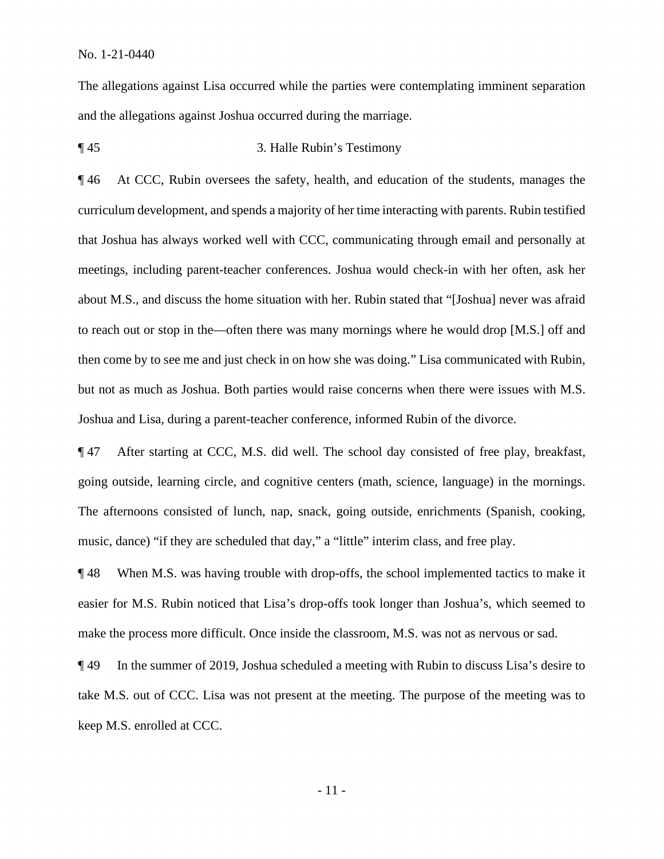and the allegations against Joshua occurred during the marriage. The allegations against Lisa occurred while the parties were contemplating imminent separation

### ¶ 45 3. Halle Rubin's Testimony

 curriculum development, and spends a majority of her time interacting with parents. Rubin testified Joshua and Lisa, during a parent-teacher conference, informed Rubin of the divorce. ¶ 46 At CCC, Rubin oversees the safety, health, and education of the students, manages the that Joshua has always worked well with CCC, communicating through email and personally at meetings, including parent-teacher conferences. Joshua would check-in with her often, ask her about M.S., and discuss the home situation with her. Rubin stated that "[Joshua] never was afraid to reach out or stop in the—often there was many mornings where he would drop [M.S.] off and then come by to see me and just check in on how she was doing." Lisa communicated with Rubin, but not as much as Joshua. Both parties would raise concerns when there were issues with M.S.

¶ 47 After starting at CCC, M.S. did well. The school day consisted of free play, breakfast, going outside, learning circle, and cognitive centers (math, science, language) in the mornings. The afternoons consisted of lunch, nap, snack, going outside, enrichments (Spanish, cooking, music, dance) "if they are scheduled that day," a "little" interim class, and free play.

¶ 48 When M.S. was having trouble with drop-offs, the school implemented tactics to make it easier for M.S. Rubin noticed that Lisa's drop-offs took longer than Joshua's, which seemed to make the process more difficult. Once inside the classroom, M.S. was not as nervous or sad.

¶ 49 In the summer of 2019, Joshua scheduled a meeting with Rubin to discuss Lisa's desire to take M.S. out of CCC. Lisa was not present at the meeting. The purpose of the meeting was to keep M.S. enrolled at CCC.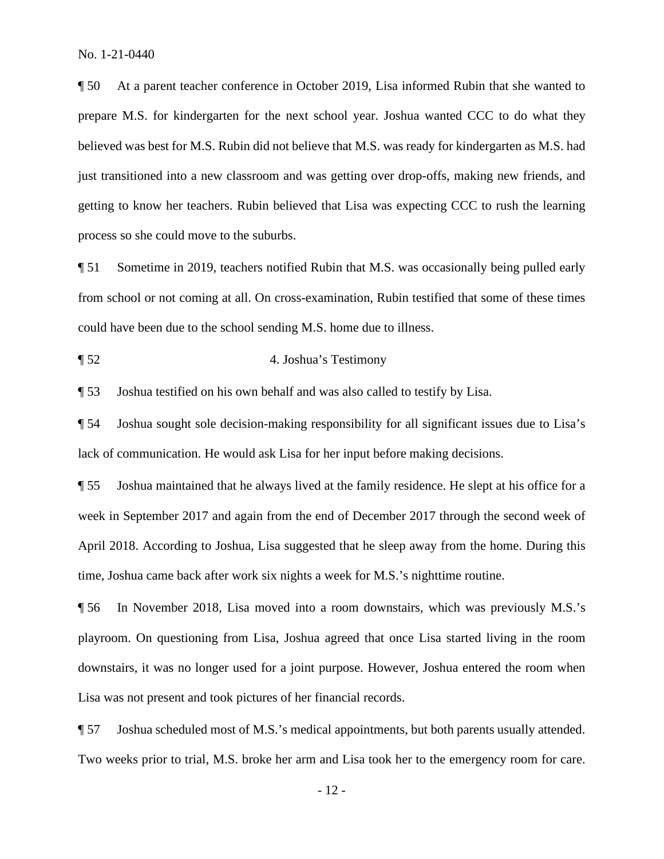getting to know her teachers. Rubin believed that Lisa was expecting CCC to rush the learning ¶ 50 At a parent teacher conference in October 2019, Lisa informed Rubin that she wanted to prepare M.S. for kindergarten for the next school year. Joshua wanted CCC to do what they believed was best for M.S. Rubin did not believe that M.S. was ready for kindergarten as M.S. had just transitioned into a new classroom and was getting over drop-offs, making new friends, and process so she could move to the suburbs.

¶ 51 Sometime in 2019, teachers notified Rubin that M.S. was occasionally being pulled early from school or not coming at all. On cross-examination, Rubin testified that some of these times could have been due to the school sending M.S. home due to illness.

¶ 52 4. Joshua's Testimony

¶ 53 Joshua testified on his own behalf and was also called to testify by Lisa.

 ¶ 54 Joshua sought sole decision-making responsibility for all significant issues due to Lisa's lack of communication. He would ask Lisa for her input before making decisions.

**Shephen** Joshua maintained that he always lived at the family residence. He slept at his office for a week in September 2017 and again from the end of December 2017 through the second week of April 2018. According to Joshua, Lisa suggested that he sleep away from the home. During this time, Joshua came back after work six nights a week for M.S.'s nighttime routine.

 downstairs, it was no longer used for a joint purpose. However, Joshua entered the room when Lisa was not present and took pictures of her financial records. ¶ 56 In November 2018, Lisa moved into a room downstairs, which was previously M.S.'s playroom. On questioning from Lisa, Joshua agreed that once Lisa started living in the room

¶ 57 Joshua scheduled most of M.S.'s medical appointments, but both parents usually attended. Two weeks prior to trial, M.S. broke her arm and Lisa took her to the emergency room for care.

- 12 -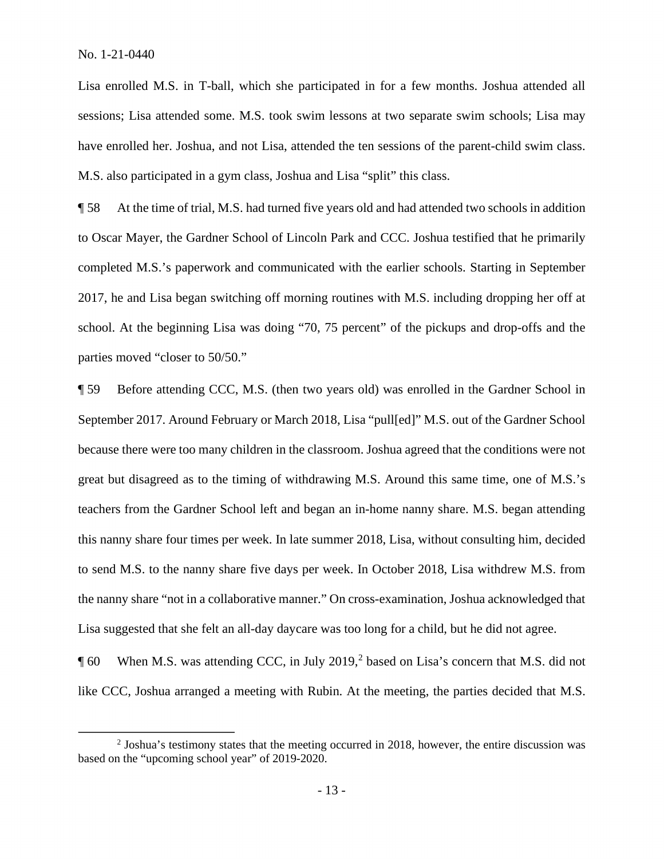Lisa enrolled M.S. in T-ball, which she participated in for a few months. Joshua attended all sessions; Lisa attended some. M.S. took swim lessons at two separate swim schools; Lisa may have enrolled her. Joshua, and not Lisa, attended the ten sessions of the parent-child swim class. M.S. also participated in a gym class, Joshua and Lisa "split" this class.

 completed M.S.'s paperwork and communicated with the earlier schools. Starting in September ¶ 58 At the time of trial, M.S. had turned five years old and had attended two schools in addition to Oscar Mayer, the Gardner School of Lincoln Park and CCC. Joshua testified that he primarily 2017, he and Lisa began switching off morning routines with M.S. including dropping her off at school. At the beginning Lisa was doing "70, 75 percent" of the pickups and drop-offs and the parties moved "closer to 50/50."

 September 2017. Around February or March 2018, Lisa "pull[ed]" M.S. out of the Gardner School ¶ 59 Before attending CCC, M.S. (then two years old) was enrolled in the Gardner School in because there were too many children in the classroom. Joshua agreed that the conditions were not great but disagreed as to the timing of withdrawing M.S. Around this same time, one of M.S.'s teachers from the Gardner School left and began an in-home nanny share. M.S. began attending this nanny share four times per week. In late summer 2018, Lisa, without consulting him, decided to send M.S. to the nanny share five days per week. In October 2018, Lisa withdrew M.S. from the nanny share "not in a collaborative manner." On cross-examination, Joshua acknowledged that Lisa suggested that she felt an all-day daycare was too long for a child, but he did not agree.

 $\P$  60 When M.S. was attending CCC, in July 2019,<sup>2</sup> based on Lisa's concern that M.S. did not like CCC, Joshua arranged a meeting with Rubin. At the meeting, the parties decided that M.S.

 based on the "upcoming school year" of 2019-2020.  $2$  Joshua's testimony states that the meeting occurred in 2018, however, the entire discussion was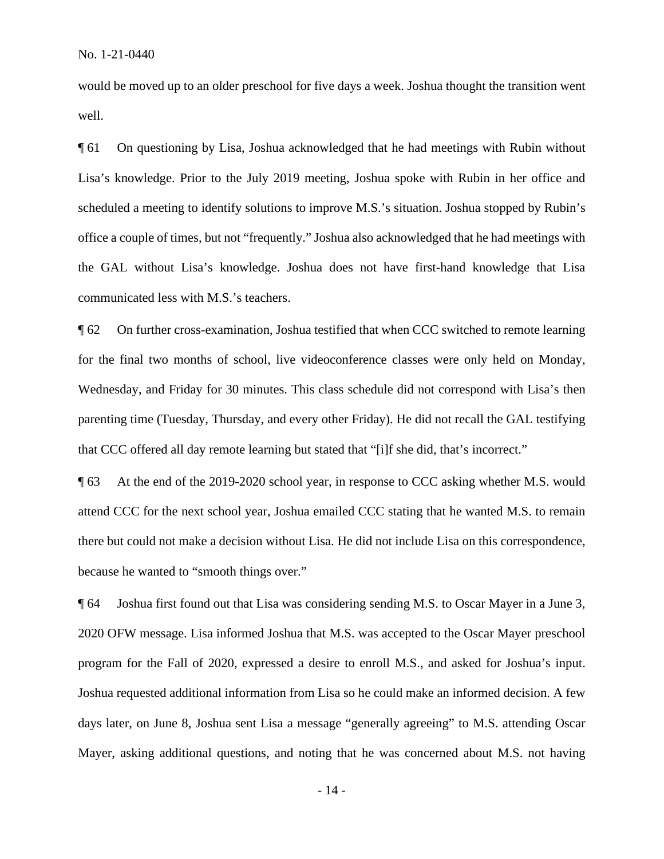would be moved up to an older preschool for five days a week. Joshua thought the transition went well.

¶ 61 On questioning by Lisa, Joshua acknowledged that he had meetings with Rubin without Lisa's knowledge. Prior to the July 2019 meeting, Joshua spoke with Rubin in her office and scheduled a meeting to identify solutions to improve M.S.'s situation. Joshua stopped by Rubin's office a couple of times, but not "frequently." Joshua also acknowledged that he had meetings with the GAL without Lisa's knowledge. Joshua does not have first-hand knowledge that Lisa communicated less with M.S.'s teachers.

 parenting time (Tuesday, Thursday, and every other Friday). He did not recall the GAL testifying ¶ 62 On further cross-examination, Joshua testified that when CCC switched to remote learning for the final two months of school, live videoconference classes were only held on Monday, Wednesday, and Friday for 30 minutes. This class schedule did not correspond with Lisa's then that CCC offered all day remote learning but stated that "[i]f she did, that's incorrect."

 there but could not make a decision without Lisa. He did not include Lisa on this correspondence, because he wanted to "smooth things over." ¶ 63 At the end of the 2019-2020 school year, in response to CCC asking whether M.S. would attend CCC for the next school year, Joshua emailed CCC stating that he wanted M.S. to remain

 program for the Fall of 2020, expressed a desire to enroll M.S., and asked for Joshua's input. Joshua requested additional information from Lisa so he could make an informed decision. A few days later, on June 8, Joshua sent Lisa a message "generally agreeing" to M.S. attending Oscar **Joshua first found out that Lisa was considering sending M.S. to Oscar Mayer in a June 3,** 2020 OFW message. Lisa informed Joshua that M.S. was accepted to the Oscar Mayer preschool Mayer, asking additional questions, and noting that he was concerned about M.S. not having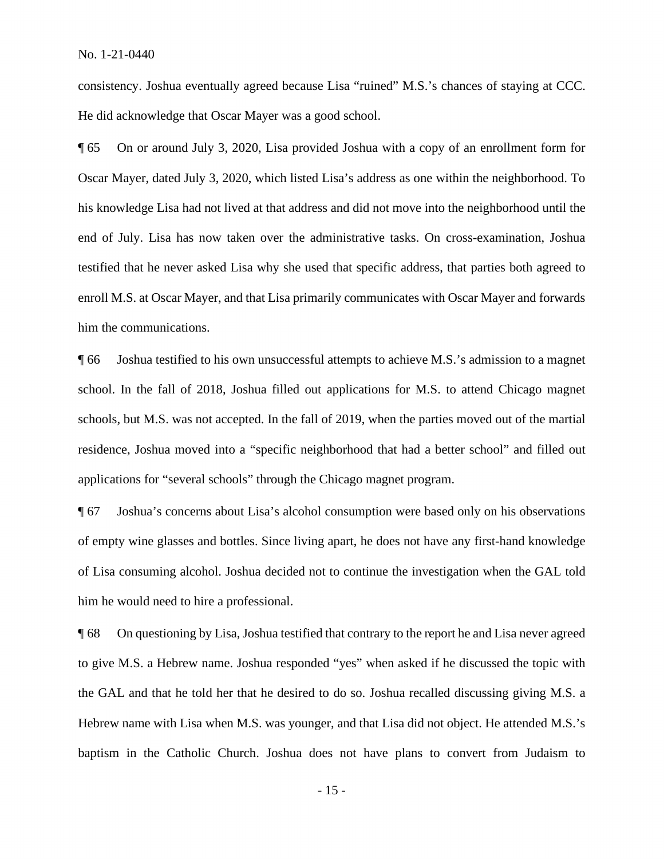consistency. Joshua eventually agreed because Lisa "ruined" M.S.'s chances of staying at CCC. He did acknowledge that Oscar Mayer was a good school.

 Oscar Mayer, dated July 3, 2020, which listed Lisa's address as one within the neighborhood. To his knowledge Lisa had not lived at that address and did not move into the neighborhood until the end of July. Lisa has now taken over the administrative tasks. On cross-examination, Joshua ¶ 65 On or around July 3, 2020, Lisa provided Joshua with a copy of an enrollment form for testified that he never asked Lisa why she used that specific address, that parties both agreed to enroll M.S. at Oscar Mayer, and that Lisa primarily communicates with Oscar Mayer and forwards him the communications.

¶ 66 Joshua testified to his own unsuccessful attempts to achieve M.S.'s admission to a magnet school. In the fall of 2018, Joshua filled out applications for M.S. to attend Chicago magnet schools, but M.S. was not accepted. In the fall of 2019, when the parties moved out of the martial residence, Joshua moved into a "specific neighborhood that had a better school" and filled out applications for "several schools" through the Chicago magnet program.

 ¶ 67 Joshua's concerns about Lisa's alcohol consumption were based only on his observations of empty wine glasses and bottles. Since living apart, he does not have any first-hand knowledge of Lisa consuming alcohol. Joshua decided not to continue the investigation when the GAL told him he would need to hire a professional.

 ¶ 68 On questioning by Lisa, Joshua testified that contrary to the report he and Lisa never agreed to give M.S. a Hebrew name. Joshua responded "yes" when asked if he discussed the topic with the GAL and that he told her that he desired to do so. Joshua recalled discussing giving M.S. a Hebrew name with Lisa when M.S. was younger, and that Lisa did not object. He attended M.S.'s baptism in the Catholic Church. Joshua does not have plans to convert from Judaism to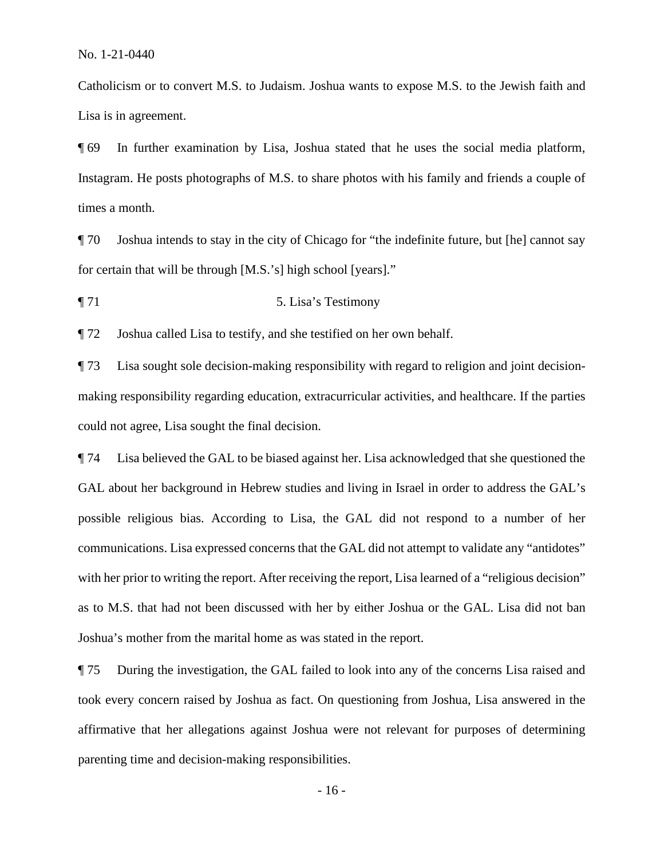Catholicism or to convert M.S. to Judaism. Joshua wants to expose M.S. to the Jewish faith and Lisa is in agreement.

 Instagram. He posts photographs of M.S. to share photos with his family and friends a couple of ¶ 69 In further examination by Lisa, Joshua stated that he uses the social media platform, times a month.

 for certain that will be through [M.S.'s] high school [years]." ¶ 70 Joshua intends to stay in the city of Chicago for "the indefinite future, but [he] cannot say

¶ 71 5. Lisa's Testimony

¶ 72 Joshua called Lisa to testify, and she testified on her own behalf.

¶ 73 Lisa sought sole decision-making responsibility with regard to religion and joint decisionmaking responsibility regarding education, extracurricular activities, and healthcare. If the parties could not agree, Lisa sought the final decision.

 GAL about her background in Hebrew studies and living in Israel in order to address the GAL's ¶ 74 Lisa believed the GAL to be biased against her. Lisa acknowledged that she questioned the possible religious bias. According to Lisa, the GAL did not respond to a number of her communications. Lisa expressed concerns that the GAL did not attempt to validate any "antidotes" with her prior to writing the report. After receiving the report, Lisa learned of a "religious decision" as to M.S. that had not been discussed with her by either Joshua or the GAL. Lisa did not ban Joshua's mother from the marital home as was stated in the report.

 ¶ 75 During the investigation, the GAL failed to look into any of the concerns Lisa raised and parenting time and decision-making responsibilities.<br>- 16 took every concern raised by Joshua as fact. On questioning from Joshua, Lisa answered in the affirmative that her allegations against Joshua were not relevant for purposes of determining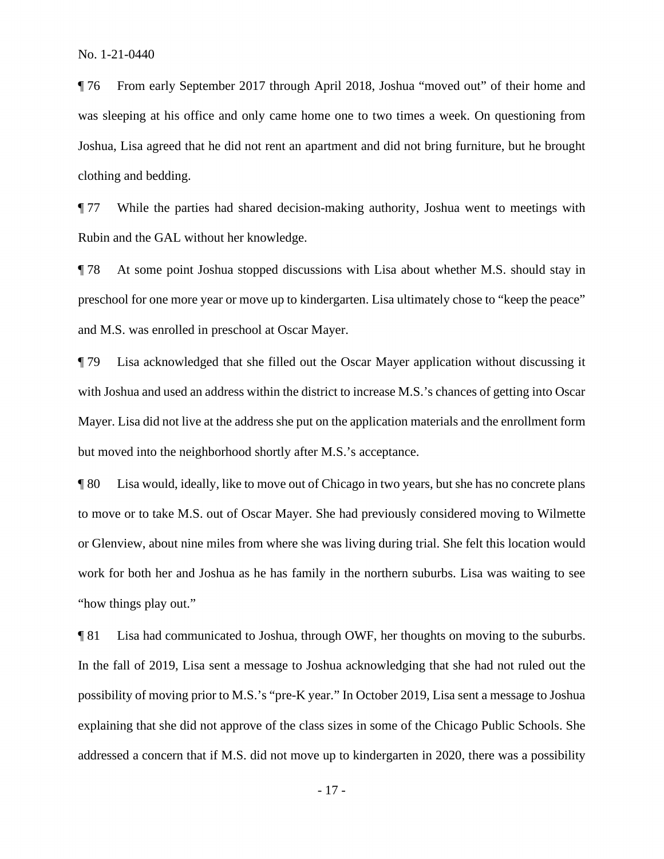¶ 76 From early September 2017 through April 2018, Joshua "moved out" of their home and was sleeping at his office and only came home one to two times a week. On questioning from Joshua, Lisa agreed that he did not rent an apartment and did not bring furniture, but he brought clothing and bedding.

¶ 77 While the parties had shared decision-making authority, Joshua went to meetings with Rubin and the GAL without her knowledge.

 preschool for one more year or move up to kindergarten. Lisa ultimately chose to "keep the peace" ¶ 78 At some point Joshua stopped discussions with Lisa about whether M.S. should stay in and M.S. was enrolled in preschool at Oscar Mayer.

 ¶ 79 Lisa acknowledged that she filled out the Oscar Mayer application without discussing it with Joshua and used an address within the district to increase M.S.'s chances of getting into Oscar but moved into the neighborhood shortly after M.S.'s acceptance. Mayer. Lisa did not live at the address she put on the application materials and the enrollment form

 or Glenview, about nine miles from where she was living during trial. She felt this location would ¶ 80 Lisa would, ideally, like to move out of Chicago in two years, but she has no concrete plans to move or to take M.S. out of Oscar Mayer. She had previously considered moving to Wilmette work for both her and Joshua as he has family in the northern suburbs. Lisa was waiting to see "how things play out."

¶ 81 Lisa had communicated to Joshua, through OWF, her thoughts on moving to the suburbs. In the fall of 2019, Lisa sent a message to Joshua acknowledging that she had not ruled out the possibility of moving prior to M.S.'s "pre-K year." In October 2019, Lisa sent a message to Joshua explaining that she did not approve of the class sizes in some of the Chicago Public Schools. She addressed a concern that if M.S. did not move up to kindergarten in 2020, there was a possibility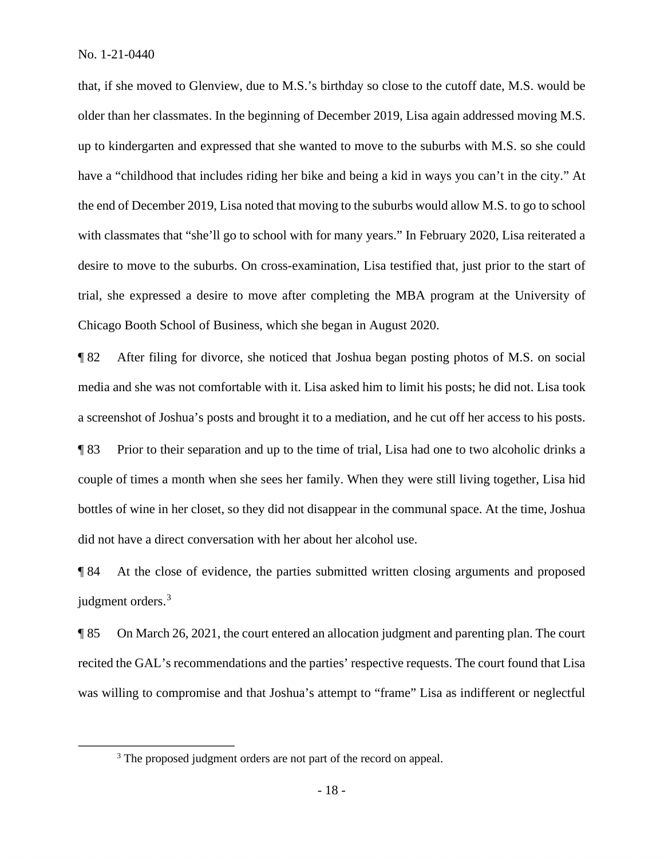that, if she moved to Glenview, due to M.S.'s birthday so close to the cutoff date, M.S. would be older than her classmates. In the beginning of December 2019, Lisa again addressed moving M.S. up to kindergarten and expressed that she wanted to move to the suburbs with M.S. so she could have a "childhood that includes riding her bike and being a kid in ways you can't in the city." At the end of December 2019, Lisa noted that moving to the suburbs would allow M.S. to go to school with classmates that "she'll go to school with for many years." In February 2020, Lisa reiterated a desire to move to the suburbs. On cross-examination, Lisa testified that, just prior to the start of trial, she expressed a desire to move after completing the MBA program at the University of Chicago Booth School of Business, which she began in August 2020.

 a screenshot of Joshua's posts and brought it to a mediation, and he cut off her access to his posts. ¶ 82 After filing for divorce, she noticed that Joshua began posting photos of M.S. on social media and she was not comfortable with it. Lisa asked him to limit his posts; he did not. Lisa took

¶ 83 Prior to their separation and up to the time of trial, Lisa had one to two alcoholic drinks a couple of times a month when she sees her family. When they were still living together, Lisa hid bottles of wine in her closet, so they did not disappear in the communal space. At the time, Joshua did not have a direct conversation with her about her alcohol use.

judgment orders.<sup>3</sup> ¶ 84 At the close of evidence, the parties submitted written closing arguments and proposed

¶ 85 On March 26, 2021, the court entered an allocation judgment and parenting plan. The court recited the GAL's recommendations and the parties' respective requests. The court found that Lisa was willing to compromise and that Joshua's attempt to "frame" Lisa as indifferent or neglectful

<sup>&</sup>lt;sup>3</sup> The proposed judgment orders are not part of the record on appeal.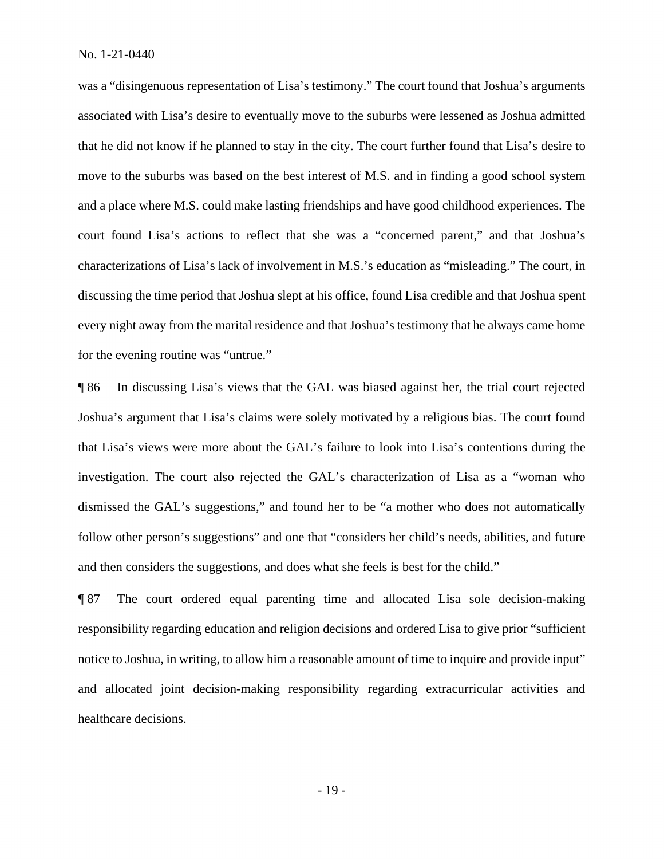move to the suburbs was based on the best interest of M.S. and in finding a good school system for the evening routine was "untrue." for the evening routine was "untrue."<br>
¶ 86 In discussing Lisa's views that the GAL was biased against her, the trial court rejected was a "disingenuous representation of Lisa's testimony." The court found that Joshua's arguments associated with Lisa's desire to eventually move to the suburbs were lessened as Joshua admitted that he did not know if he planned to stay in the city. The court further found that Lisa's desire to and a place where M.S. could make lasting friendships and have good childhood experiences. The court found Lisa's actions to reflect that she was a "concerned parent," and that Joshua's characterizations of Lisa's lack of involvement in M.S.'s education as "misleading." The court, in discussing the time period that Joshua slept at his office, found Lisa credible and that Joshua spent every night away from the marital residence and that Joshua's testimony that he always came home

Joshua's argument that Lisa's claims were solely motivated by a religious bias. The court found that Lisa's views were more about the GAL's failure to look into Lisa's contentions during the investigation. The court also rejected the GAL's characterization of Lisa as a "woman who dismissed the GAL's suggestions," and found her to be "a mother who does not automatically follow other person's suggestions" and one that "considers her child's needs, abilities, and future and then considers the suggestions, and does what she feels is best for the child."

 ¶ 87 The court ordered equal parenting time and allocated Lisa sole decision-making responsibility regarding education and religion decisions and ordered Lisa to give prior "sufficient and allocated joint decision-making responsibility regarding extracurricular activities and notice to Joshua, in writing, to allow him a reasonable amount of time to inquire and provide input" healthcare decisions.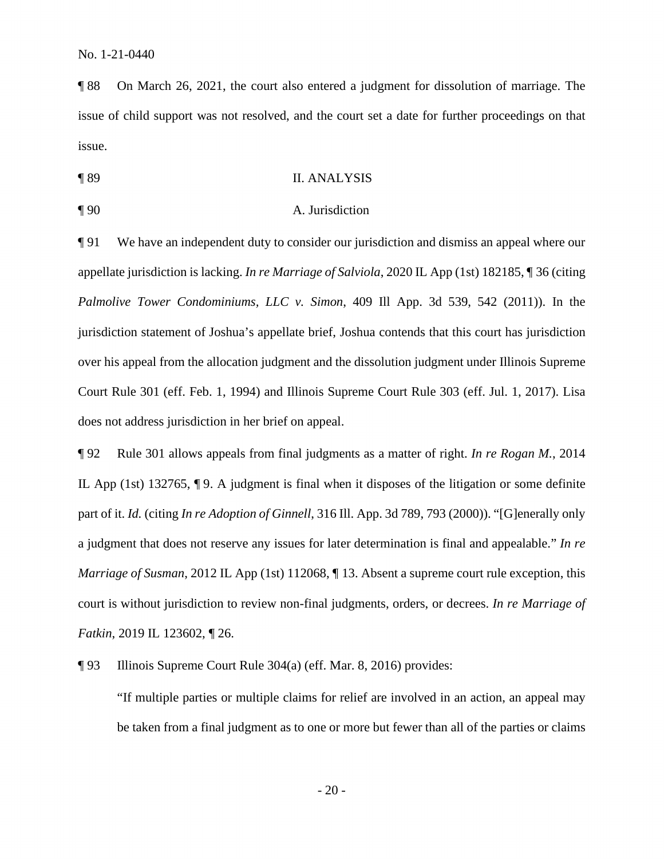¶ 88 On March 26, 2021, the court also entered a judgment for dissolution of marriage. The issue of child support was not resolved, and the court set a date for further proceedings on that issue.

- ¶ 89 II. ANALYSIS
- 

#### ¶ 90 A. Jurisdiction

 over his appeal from the allocation judgment and the dissolution judgment under Illinois Supreme Court Rule 301 (eff. Feb. 1, 1994) and Illinois Supreme Court Rule 303 (eff. Jul. 1, 2017). Lisa ¶ 91 We have an independent duty to consider our jurisdiction and dismiss an appeal where our appellate jurisdiction is lacking. *In re Marriage of Salviola*, 2020 IL App (1st) 182185, ¶ 36 (citing *Palmolive Tower Condominiums, LLC v. Simon*, 409 Ill App. 3d 539, 542 (2011)). In the jurisdiction statement of Joshua's appellate brief, Joshua contends that this court has jurisdiction does not address jurisdiction in her brief on appeal.

 ¶ 92 Rule 301 allows appeals from final judgments as a matter of right. *In re Rogan M.*, 2014 IL App (1st) 132765, ¶ 9. A judgment is final when it disposes of the litigation or some definite part of it. *Id.* (citing *In re Adoption of Ginnell*, 316 Ill. App. 3d 789, 793 (2000)). "[G]enerally only a judgment that does not reserve any issues for later determination is final and appealable." *In re Marriage of Susman*, 2012 IL App (1st) 112068, 113. Absent a supreme court rule exception, this court is without jurisdiction to review non-final judgments, orders, or decrees. *In re Marriage of Fatkin*, 2019 IL 123602, ¶ 26.

¶ 93 Illinois Supreme Court Rule 304(a) (eff. Mar. 8, 2016) provides:

"If multiple parties or multiple claims for relief are involved in an action, an appeal may be taken from a final judgment as to one or more but fewer than all of the parties or claims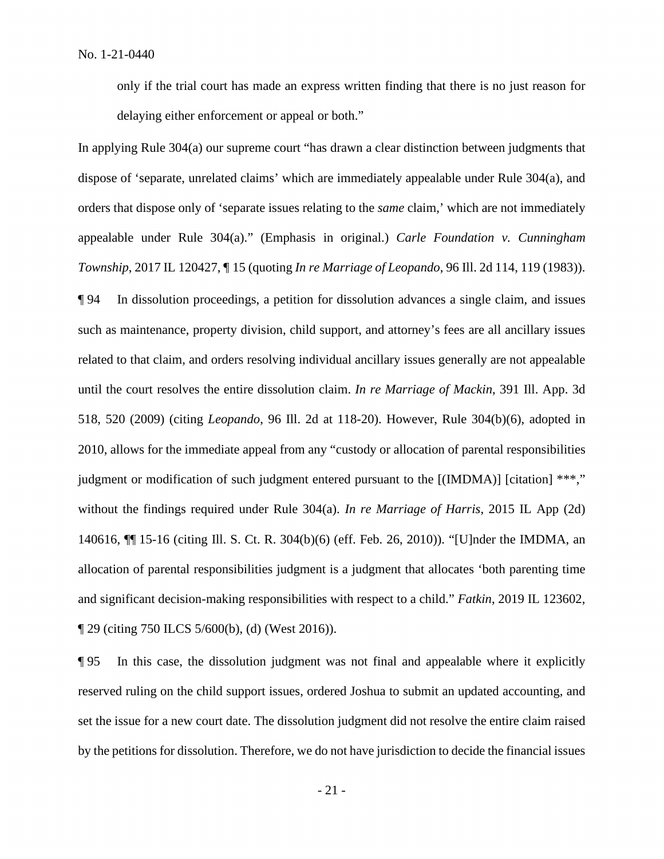delaying either enforcement or appeal or both." only if the trial court has made an express written finding that there is no just reason for

 delaying either enforcement or appeal or both." In applying Rule 304(a) our supreme court "has drawn a clear distinction between judgments that without the findings required under Rule 304(a). *In re Marriage of Harris*, 2015 IL App (2d) 140616, ¶¶ 15-16 (citing Ill. S. Ct. R. 304(b)(6) (eff. Feb. 26, 2010)). "[U]nder the IMDMA, an dispose of 'separate, unrelated claims' which are immediately appealable under Rule 304(a), and orders that dispose only of 'separate issues relating to the *same* claim,' which are not immediately appealable under Rule 304(a)." (Emphasis in original.) *Carle Foundation v. Cunningham Township*, 2017 IL 120427, ¶ 15 (quoting *In re Marriage of Leopando*, 96 Ill. 2d 114, 119 (1983)). ¶ 94 In dissolution proceedings, a petition for dissolution advances a single claim, and issues such as maintenance, property division, child support, and attorney's fees are all ancillary issues related to that claim, and orders resolving individual ancillary issues generally are not appealable until the court resolves the entire dissolution claim. *In re Marriage of Mackin*, 391 Ill. App. 3d 518, 520 (2009) (citing *Leopando*, 96 Ill. 2d at 118-20). However, Rule 304(b)(6), adopted in 2010, allows for the immediate appeal from any "custody or allocation of parental responsibilities judgment or modification of such judgment entered pursuant to the [(IMDMA)] [citation] \*\*\*," allocation of parental responsibilities judgment is a judgment that allocates 'both parenting time and significant decision-making responsibilities with respect to a child." *Fatkin*, 2019 IL 123602, ¶ 29 (citing 750 ILCS 5/600(b), (d) (West 2016)).

 set the issue for a new court date. The dissolution judgment did not resolve the entire claim raised by the petitions for dissolution. Therefore, we do not have jurisdiction to decide the financial issues ¶ 95 In this case, the dissolution judgment was not final and appealable where it explicitly reserved ruling on the child support issues, ordered Joshua to submit an updated accounting, and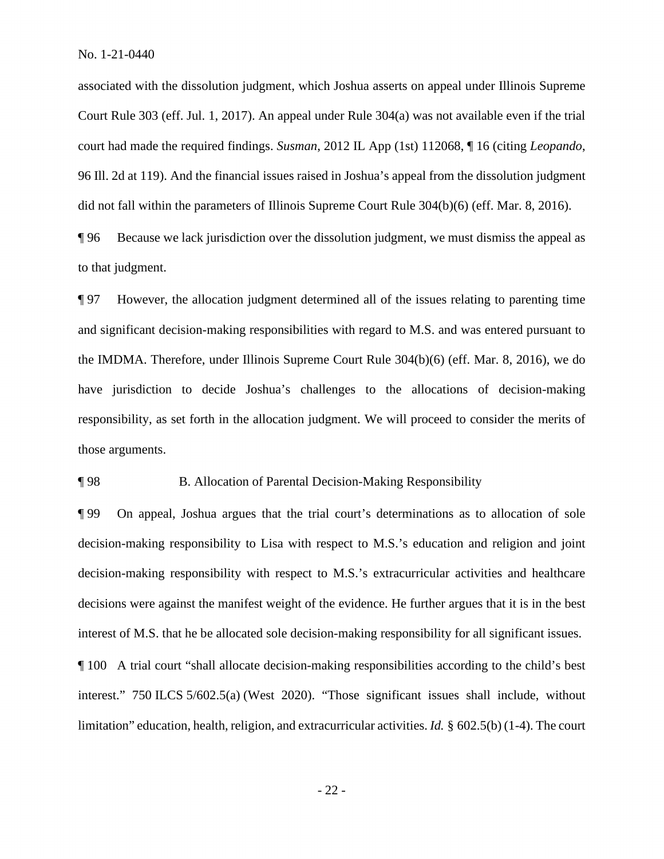associated with the dissolution judgment, which Joshua asserts on appeal under Illinois Supreme Court Rule 303 (eff. Jul. 1, 2017). An appeal under Rule 304(a) was not available even if the trial court had made the required findings. *Susman*, 2012 IL App (1st) 112068, ¶ 16 (citing *Leopando*, 96 Ill. 2d at 119). And the financial issues raised in Joshua's appeal from the dissolution judgment did not fall within the parameters of Illinois Supreme Court Rule 304(b)(6) (eff. Mar. 8, 2016).

¶ 96 Because we lack jurisdiction over the dissolution judgment, we must dismiss the appeal as to that judgment.

 the IMDMA. Therefore, under Illinois Supreme Court Rule 304(b)(6) (eff. Mar. 8, 2016), we do ¶ 97 However, the allocation judgment determined all of the issues relating to parenting time and significant decision-making responsibilities with regard to M.S. and was entered pursuant to have jurisdiction to decide Joshua's challenges to the allocations of decision-making responsibility, as set forth in the allocation judgment. We will proceed to consider the merits of those arguments.

¶ 98 B. Allocation of Parental Decision-Making Responsibility

¶ 99 On appeal, Joshua argues that the trial court's determinations as to allocation of sole decision-making responsibility to Lisa with respect to M.S.'s education and religion and joint decision-making responsibility with respect to M.S.'s extracurricular activities and healthcare decisions were against the manifest weight of the evidence. He further argues that it is in the best interest of M.S. that he be allocated sole decision-making responsibility for all significant issues.

 limitation" education, health, religion, and extracurricular activities. *Id.* § 602.5(b) (1-4). The court ¶ 100 A trial court "shall allocate decision-making responsibilities according to the child's best interest." 750 ILCS 5/602.5(a) (West 2020). "Those significant issues shall include, without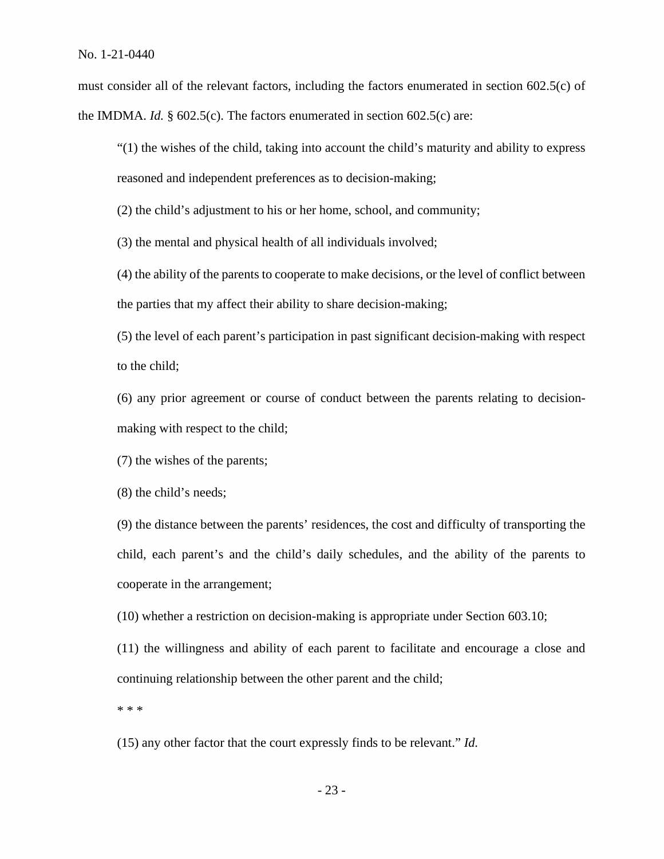must consider all of the relevant factors, including the factors enumerated in section 602.5(c) of the IMDMA. *Id.* § 602.5(c). The factors enumerated in section 602.5(c) are:

"(1) the wishes of the child, taking into account the child's maturity and ability to express reasoned and independent preferences as to decision-making;

(2) the child's adjustment to his or her home, school, and community;

(3) the mental and physical health of all individuals involved;

(4) the ability of the parents to cooperate to make decisions, or the level of conflict between the parties that my affect their ability to share decision-making;

(5) the level of each parent's participation in past significant decision-making with respect to the child;

(6) any prior agreement or course of conduct between the parents relating to decisionmaking with respect to the child;

(7) the wishes of the parents;

(8) the child's needs;

(9) the distance between the parents' residences, the cost and difficulty of transporting the child, each parent's and the child's daily schedules, and the ability of the parents to cooperate in the arrangement;

(10) whether a restriction on decision-making is appropriate under Section 603.10;

 (11) the willingness and ability of each parent to facilitate and encourage a close and continuing relationship between the other parent and the child;

\* \* \*

(15) any other factor that the court expressly finds to be relevant." *Id.*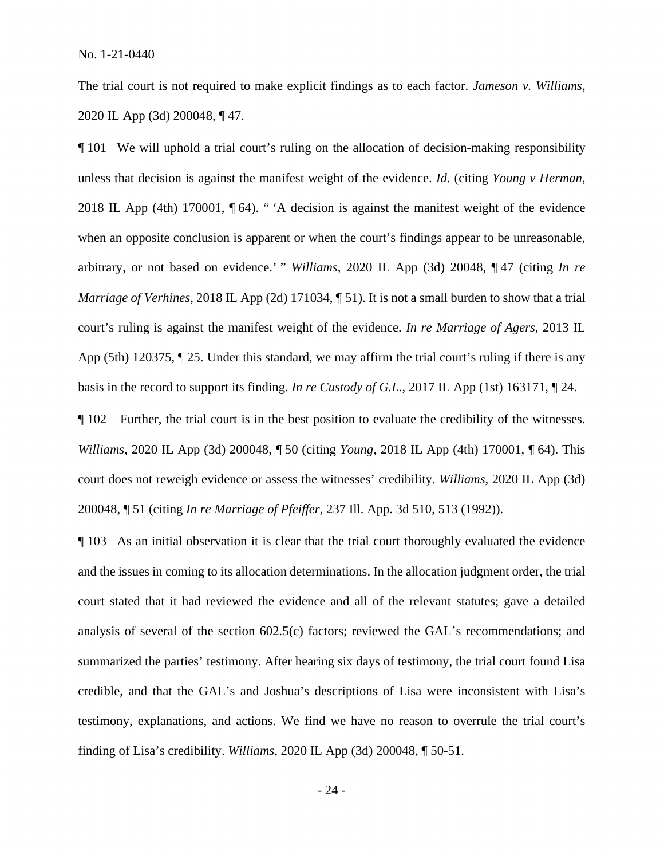The trial court is not required to make explicit findings as to each factor. *Jameson v. Williams*, 2020 IL App (3d) 200048, ¶ 47.

 2018 IL App (4th) 170001, ¶ 64). " 'A decision is against the manifest weight of the evidence ¶ 101 We will uphold a trial court's ruling on the allocation of decision-making responsibility unless that decision is against the manifest weight of the evidence. *Id*. (citing *Young v Herman*, when an opposite conclusion is apparent or when the court's findings appear to be unreasonable, arbitrary, or not based on evidence.' " *Williams*, 2020 IL App (3d) 20048, ¶ 47 (citing *In re Marriage of Verhines*, 2018 IL App (2d) 171034, [51]. It is not a small burden to show that a trial court's ruling is against the manifest weight of the evidence. *In re Marriage of Agers*, 2013 IL App (5th) 120375, ¶ 25. Under this standard, we may affirm the trial court's ruling if there is any basis in the record to support its finding. *In re Custody of G.L.*, 2017 IL App (1st) 163171, ¶ 24.

¶ 102 Further, the trial court is in the best position to evaluate the credibility of the witnesses. *Williams*, 2020 IL App (3d) 200048, ¶ 50 (citing *Young*, 2018 IL App (4th) 170001, ¶ 64). This court does not reweigh evidence or assess the witnesses' credibility. *Williams*, 2020 IL App (3d) 200048, ¶ 51 (citing *In re Marriage of Pfeiffer*, 237 Ill. App. 3d 510, 513 (1992)).

 ¶ 103 As an initial observation it is clear that the trial court thoroughly evaluated the evidence and the issues in coming to its allocation determinations. In the allocation judgment order, the trial court stated that it had reviewed the evidence and all of the relevant statutes; gave a detailed summarized the parties' testimony. After hearing six days of testimony, the trial court found Lisa credible, and that the GAL's and Joshua's descriptions of Lisa were inconsistent with Lisa's analysis of several of the section 602.5(c) factors; reviewed the GAL's recommendations; and testimony, explanations, and actions. We find we have no reason to overrule the trial court's finding of Lisa's credibility. *Williams*, 2020 IL App (3d) 200048, ¶ 50-51.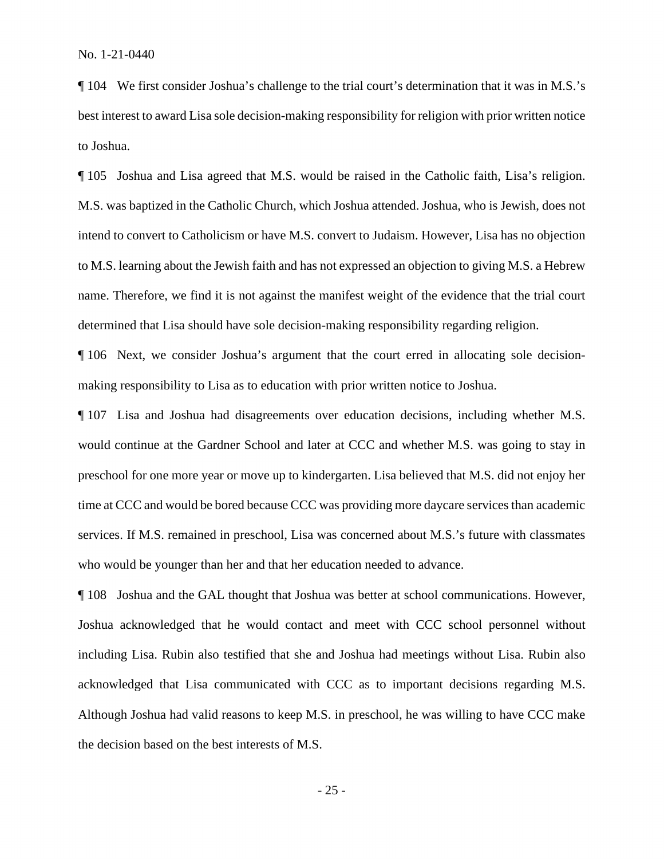¶ 104 We first consider Joshua's challenge to the trial court's determination that it was in M.S.'s best interest to award Lisa sole decision-making responsibility for religion with prior written notice to Joshua.

 to M.S. learning about the Jewish faith and has not expressed an objection to giving M.S. a Hebrew name. Therefore, we find it is not against the manifest weight of the evidence that the trial court ¶ 105 Joshua and Lisa agreed that M.S. would be raised in the Catholic faith, Lisa's religion. M.S. was baptized in the Catholic Church, which Joshua attended. Joshua, who is Jewish, does not intend to convert to Catholicism or have M.S. convert to Judaism. However, Lisa has no objection determined that Lisa should have sole decision-making responsibility regarding religion.

¶ 106 Next, we consider Joshua's argument that the court erred in allocating sole decisionmaking responsibility to Lisa as to education with prior written notice to Joshua.

 who would be younger than her and that her education needed to advance. ¶ 107 Lisa and Joshua had disagreements over education decisions, including whether M.S. would continue at the Gardner School and later at CCC and whether M.S. was going to stay in preschool for one more year or move up to kindergarten. Lisa believed that M.S. did not enjoy her time at CCC and would be bored because CCC was providing more daycare services than academic services. If M.S. remained in preschool, Lisa was concerned about M.S.'s future with classmates

 Joshua acknowledged that he would contact and meet with CCC school personnel without ¶ 108 Joshua and the GAL thought that Joshua was better at school communications. However, including Lisa. Rubin also testified that she and Joshua had meetings without Lisa. Rubin also acknowledged that Lisa communicated with CCC as to important decisions regarding M.S. Although Joshua had valid reasons to keep M.S. in preschool, he was willing to have CCC make the decision based on the best interests of M.S.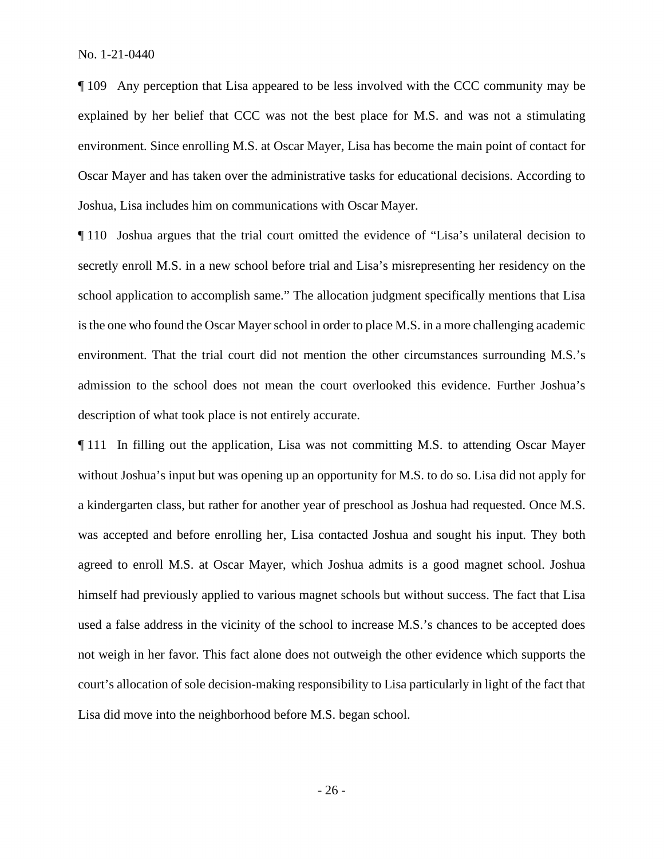environment. Since enrolling M.S. at Oscar Mayer, Lisa has become the main point of contact for Oscar Mayer and has taken over the administrative tasks for educational decisions. According to ¶ 109 Any perception that Lisa appeared to be less involved with the CCC community may be explained by her belief that CCC was not the best place for M.S. and was not a stimulating Joshua, Lisa includes him on communications with Oscar Mayer.

 environment. That the trial court did not mention the other circumstances surrounding M.S.'s ¶ 110 Joshua argues that the trial court omitted the evidence of "Lisa's unilateral decision to secretly enroll M.S. in a new school before trial and Lisa's misrepresenting her residency on the school application to accomplish same." The allocation judgment specifically mentions that Lisa is the one who found the Oscar Mayer school in order to place M.S. in a more challenging academic admission to the school does not mean the court overlooked this evidence. Further Joshua's description of what took place is not entirely accurate.

 without Joshua's input but was opening up an opportunity for M.S. to do so. Lisa did not apply for a kindergarten class, but rather for another year of preschool as Joshua had requested. Once M.S. was accepted and before enrolling her, Lisa contacted Joshua and sought his input. They both agreed to enroll M.S. at Oscar Mayer, which Joshua admits is a good magnet school. Joshua used a false address in the vicinity of the school to increase M.S.'s chances to be accepted does ¶ 111 In filling out the application, Lisa was not committing M.S. to attending Oscar Mayer himself had previously applied to various magnet schools but without success. The fact that Lisa not weigh in her favor. This fact alone does not outweigh the other evidence which supports the court's allocation of sole decision-making responsibility to Lisa particularly in light of the fact that Lisa did move into the neighborhood before M.S. began school.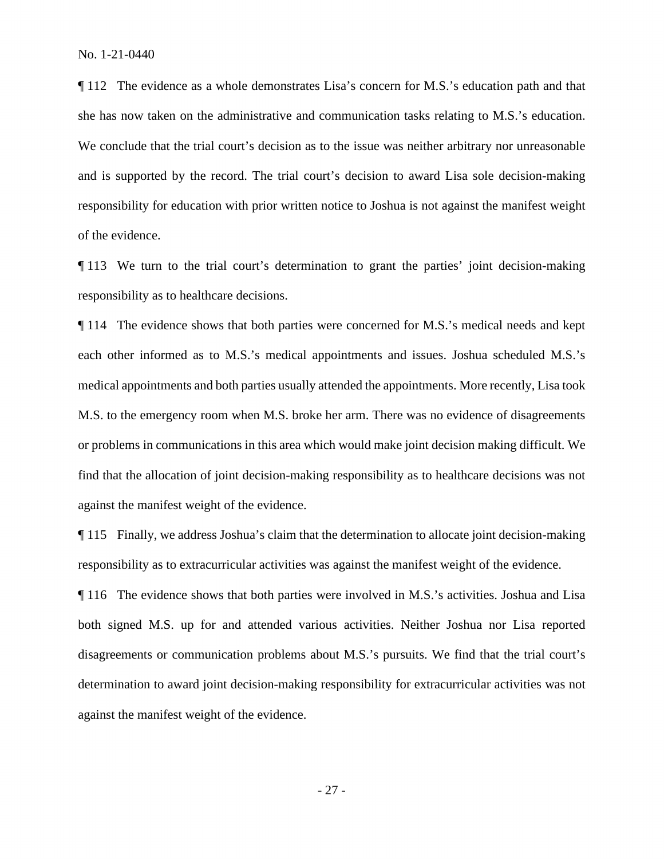¶ 112 The evidence as a whole demonstrates Lisa's concern for M.S.'s education path and that she has now taken on the administrative and communication tasks relating to M.S.'s education. We conclude that the trial court's decision as to the issue was neither arbitrary nor unreasonable and is supported by the record. The trial court's decision to award Lisa sole decision-making responsibility for education with prior written notice to Joshua is not against the manifest weight of the evidence.

 ¶ 113 We turn to the trial court's determination to grant the parties' joint decision-making responsibility as to healthcare decisions.

 ¶ 114 The evidence shows that both parties were concerned for M.S.'s medical needs and kept each other informed as to M.S.'s medical appointments and issues. Joshua scheduled M.S.'s medical appointments and both parties usually attended the appointments. More recently, Lisa took M.S. to the emergency room when M.S. broke her arm. There was no evidence of disagreements or problems in communications in this area which would make joint decision making difficult. We find that the allocation of joint decision-making responsibility as to healthcare decisions was not against the manifest weight of the evidence.

¶ 115 Finally, we address Joshua's claim that the determination to allocate joint decision-making responsibility as to extracurricular activities was against the manifest weight of the evidence.

¶ 116 The evidence shows that both parties were involved in M.S.'s activities. Joshua and Lisa both signed M.S. up for and attended various activities. Neither Joshua nor Lisa reported disagreements or communication problems about M.S.'s pursuits. We find that the trial court's determination to award joint decision-making responsibility for extracurricular activities was not against the manifest weight of the evidence.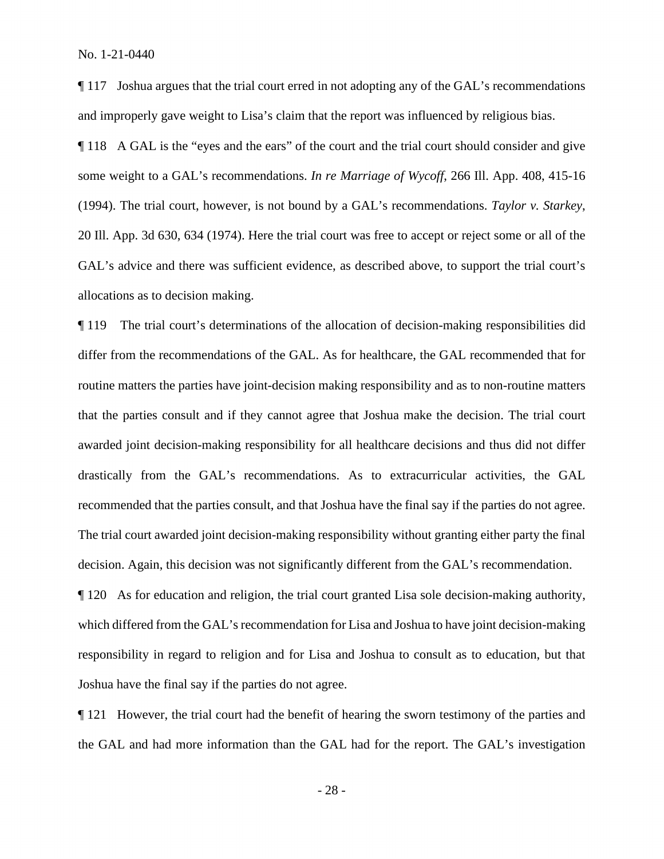¶ 117 Joshua argues that the trial court erred in not adopting any of the GAL's recommendations and improperly gave weight to Lisa's claim that the report was influenced by religious bias.

 ¶ 118 A GAL is the "eyes and the ears" of the court and the trial court should consider and give some weight to a GAL's recommendations. *In re Marriage of Wycoff*, 266 Ill. App. 408, 415-16 (1994). The trial court, however, is not bound by a GAL's recommendations. *Taylor v. Starkey*, 20 Ill. App. 3d 630, 634 (1974). Here the trial court was free to accept or reject some or all of the GAL's advice and there was sufficient evidence, as described above, to support the trial court's allocations as to decision making.

¶ 119 The trial court's determinations of the allocation of decision-making responsibilities did differ from the recommendations of the GAL. As for healthcare, the GAL recommended that for routine matters the parties have joint-decision making responsibility and as to non-routine matters that the parties consult and if they cannot agree that Joshua make the decision. The trial court awarded joint decision-making responsibility for all healthcare decisions and thus did not differ drastically from the GAL's recommendations. As to extracurricular activities, the GAL recommended that the parties consult, and that Joshua have the final say if the parties do not agree. The trial court awarded joint decision-making responsibility without granting either party the final decision. Again, this decision was not significantly different from the GAL's recommendation.

¶ 120 As for education and religion, the trial court granted Lisa sole decision-making authority, which differed from the GAL's recommendation for Lisa and Joshua to have joint decision-making responsibility in regard to religion and for Lisa and Joshua to consult as to education, but that Joshua have the final say if the parties do not agree.

¶ 121 However, the trial court had the benefit of hearing the sworn testimony of the parties and the GAL and had more information than the GAL had for the report. The GAL's investigation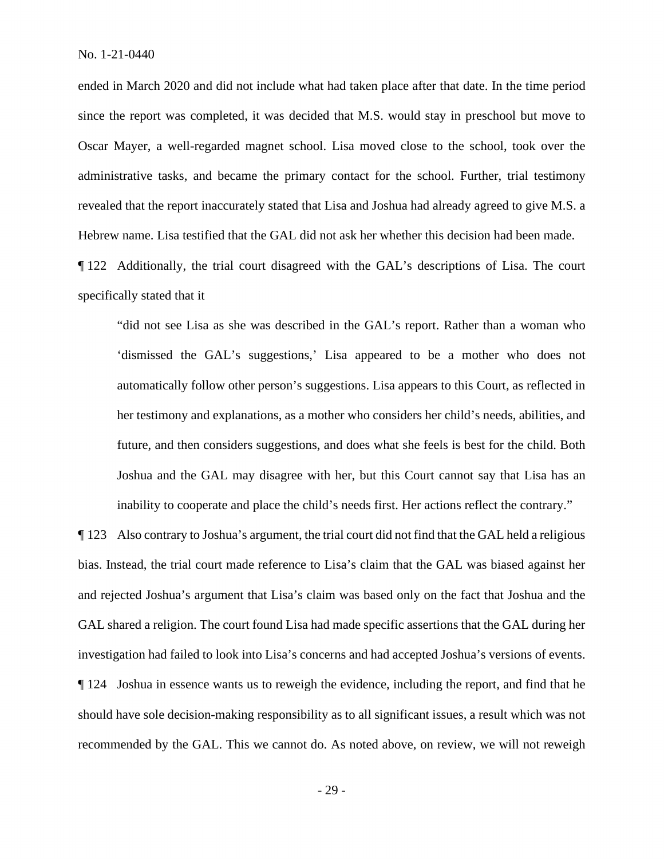since the report was completed, it was decided that M.S. would stay in preschool but move to ended in March 2020 and did not include what had taken place after that date. In the time period Oscar Mayer, a well-regarded magnet school. Lisa moved close to the school, took over the administrative tasks, and became the primary contact for the school. Further, trial testimony revealed that the report inaccurately stated that Lisa and Joshua had already agreed to give M.S. a Hebrew name. Lisa testified that the GAL did not ask her whether this decision had been made.

¶ 122 Additionally, the trial court disagreed with the GAL's descriptions of Lisa. The court specifically stated that it

"did not see Lisa as she was described in the GAL's report. Rather than a woman who 'dismissed the GAL's suggestions,' Lisa appeared to be a mother who does not automatically follow other person's suggestions. Lisa appears to this Court, as reflected in her testimony and explanations, as a mother who considers her child's needs, abilities, and future, and then considers suggestions, and does what she feels is best for the child. Both Joshua and the GAL may disagree with her, but this Court cannot say that Lisa has an inability to cooperate and place the child's needs first. Her actions reflect the contrary."

¶ 123 Also contrary to Joshua's argument, the trial court did not find that the GAL held a religious bias. Instead, the trial court made reference to Lisa's claim that the GAL was biased against her and rejected Joshua's argument that Lisa's claim was based only on the fact that Joshua and the GAL shared a religion. The court found Lisa had made specific assertions that the GAL during her investigation had failed to look into Lisa's concerns and had accepted Joshua's versions of events. ¶ 124 Joshua in essence wants us to reweigh the evidence, including the report, and find that he should have sole decision-making responsibility as to all significant issues, a result which was not recommended by the GAL. This we cannot do. As noted above, on review, we will not reweigh